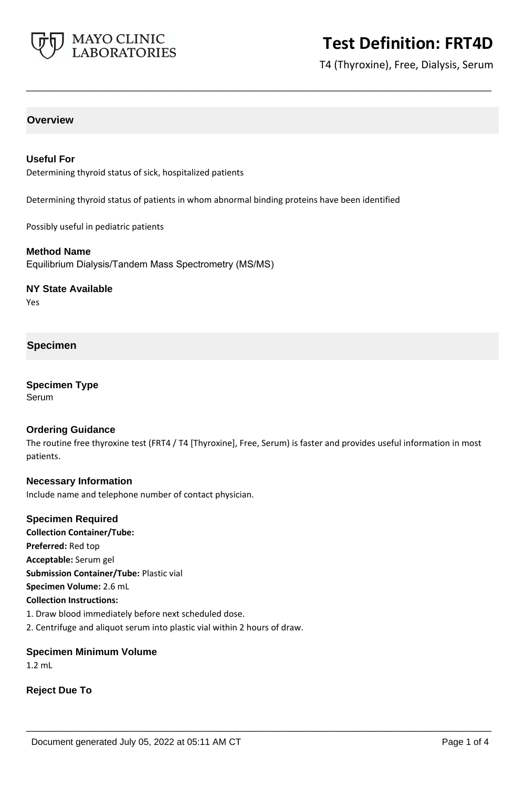

T4 (Thyroxine), Free, Dialysis, Serum

## **Overview**

### **Useful For**

Determining thyroid status of sick, hospitalized patients

Determining thyroid status of patients in whom abnormal binding proteins have been identified

**\_\_\_\_\_\_\_\_\_\_\_\_\_\_\_\_\_\_\_\_\_\_\_\_\_\_\_\_\_\_\_\_\_\_\_\_\_\_\_\_\_\_\_\_\_\_\_\_\_\_\_**

Possibly useful in pediatric patients

#### **Method Name**

Equilibrium Dialysis/Tandem Mass Spectrometry (MS/MS)

**NY State Available**

Yes

### **Specimen**

**Specimen Type Serum** 

## **Ordering Guidance**

The routine free thyroxine test (FRT4 / T4 [Thyroxine], Free, Serum) is faster and provides useful information in most patients.

**\_\_\_\_\_\_\_\_\_\_\_\_\_\_\_\_\_\_\_\_\_\_\_\_\_\_\_\_\_\_\_\_\_\_\_\_\_\_\_\_\_\_\_\_\_\_\_\_\_\_\_**

## **Necessary Information** Include name and telephone number of contact physician.

### **Specimen Required**

**Collection Container/Tube: Preferred:** Red top **Acceptable:** Serum gel **Submission Container/Tube:** Plastic vial **Specimen Volume:** 2.6 mL **Collection Instructions:**

- 1. Draw blood immediately before next scheduled dose.
- 2. Centrifuge and aliquot serum into plastic vial within 2 hours of draw.

### **Specimen Minimum Volume**

1.2 mL

**Reject Due To**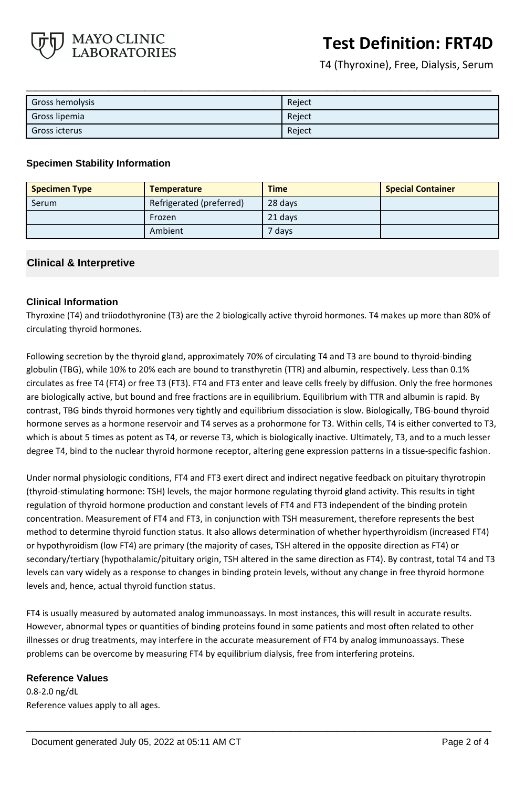

T4 (Thyroxine), Free, Dialysis, Serum

| Gross hemolysis | Reject |
|-----------------|--------|
| Gross lipemia   | Reject |
| Gross icterus   | Reject |

### **Specimen Stability Information**

| <b>Specimen Type</b> | <b>Temperature</b>       | <b>Time</b> | <b>Special Container</b> |
|----------------------|--------------------------|-------------|--------------------------|
| Serum                | Refrigerated (preferred) | 28 days     |                          |
|                      | Frozen                   | 21 days     |                          |
|                      | Ambient                  | 7 days      |                          |

## **Clinical & Interpretive**

## **Clinical Information**

Thyroxine (T4) and triiodothyronine (T3) are the 2 biologically active thyroid hormones. T4 makes up more than 80% of circulating thyroid hormones.

Following secretion by the thyroid gland, approximately 70% of circulating T4 and T3 are bound to thyroid-binding globulin (TBG), while 10% to 20% each are bound to transthyretin (TTR) and albumin, respectively. Less than 0.1% circulates as free T4 (FT4) or free T3 (FT3). FT4 and FT3 enter and leave cells freely by diffusion. Only the free hormones are biologically active, but bound and free fractions are in equilibrium. Equilibrium with TTR and albumin is rapid. By contrast, TBG binds thyroid hormones very tightly and equilibrium dissociation is slow. Biologically, TBG-bound thyroid hormone serves as a hormone reservoir and T4 serves as a prohormone for T3. Within cells, T4 is either converted to T3, which is about 5 times as potent as T4, or reverse T3, which is biologically inactive. Ultimately, T3, and to a much lesser degree T4, bind to the nuclear thyroid hormone receptor, altering gene expression patterns in a tissue-specific fashion.

Under normal physiologic conditions, FT4 and FT3 exert direct and indirect negative feedback on pituitary thyrotropin (thyroid-stimulating hormone: TSH) levels, the major hormone regulating thyroid gland activity. This results in tight regulation of thyroid hormone production and constant levels of FT4 and FT3 independent of the binding protein concentration. Measurement of FT4 and FT3, in conjunction with TSH measurement, therefore represents the best method to determine thyroid function status. It also allows determination of whether hyperthyroidism (increased FT4) or hypothyroidism (low FT4) are primary (the majority of cases, TSH altered in the opposite direction as FT4) or secondary/tertiary (hypothalamic/pituitary origin, TSH altered in the same direction as FT4). By contrast, total T4 and T3 levels can vary widely as a response to changes in binding protein levels, without any change in free thyroid hormone levels and, hence, actual thyroid function status.

FT4 is usually measured by automated analog immunoassays. In most instances, this will result in accurate results. However, abnormal types or quantities of binding proteins found in some patients and most often related to other illnesses or drug treatments, may interfere in the accurate measurement of FT4 by analog immunoassays. These problems can be overcome by measuring FT4 by equilibrium dialysis, free from interfering proteins.

**\_\_\_\_\_\_\_\_\_\_\_\_\_\_\_\_\_\_\_\_\_\_\_\_\_\_\_\_\_\_\_\_\_\_\_\_\_\_\_\_\_\_\_\_\_\_\_\_\_\_\_**

### **Reference Values**

0.8-2.0 ng/dL Reference values apply to all ages.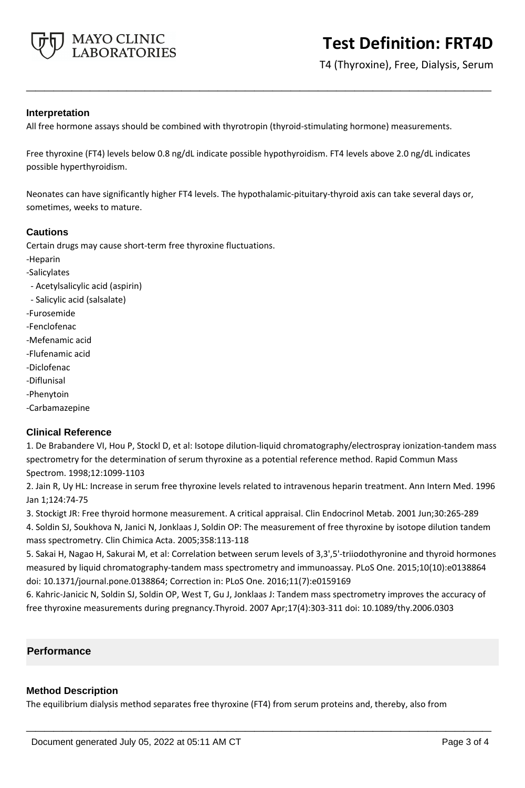

T4 (Thyroxine), Free, Dialysis, Serum

### **Interpretation**

All free hormone assays should be combined with thyrotropin (thyroid-stimulating hormone) measurements.

Free thyroxine (FT4) levels below 0.8 ng/dL indicate possible hypothyroidism. FT4 levels above 2.0 ng/dL indicates possible hyperthyroidism.

**\_\_\_\_\_\_\_\_\_\_\_\_\_\_\_\_\_\_\_\_\_\_\_\_\_\_\_\_\_\_\_\_\_\_\_\_\_\_\_\_\_\_\_\_\_\_\_\_\_\_\_**

Neonates can have significantly higher FT4 levels. The hypothalamic-pituitary-thyroid axis can take several days or, sometimes, weeks to mature.

### **Cautions**

Certain drugs may cause short-term free thyroxine fluctuations.

- -Heparin
- -Salicylates
- Acetylsalicylic acid (aspirin)
- Salicylic acid (salsalate)
- -Furosemide
- -Fenclofenac
- -Mefenamic acid
- -Flufenamic acid
- -Diclofenac
- -Diflunisal
- -Phenytoin
- -Carbamazepine

### **Clinical Reference**

1. De Brabandere VI, Hou P, Stockl D, et al: Isotope dilution-liquid chromatography/electrospray ionization-tandem mass spectrometry for the determination of serum thyroxine as a potential reference method. Rapid Commun Mass Spectrom. 1998;12:1099-1103

2. Jain R, Uy HL: Increase in serum free thyroxine levels related to intravenous heparin treatment. Ann Intern Med. 1996 Jan 1;124:74-75

3. Stockigt JR: Free thyroid hormone measurement. A critical appraisal. Clin Endocrinol Metab. 2001 Jun;30:265-289 4. Soldin SJ, Soukhova N, Janici N, Jonklaas J, Soldin OP: The measurement of free thyroxine by isotope dilution tandem mass spectrometry. Clin Chimica Acta. 2005;358:113-118

5. Sakai H, Nagao H, Sakurai M, et al: Correlation between serum levels of 3,3',5'-triiodothyronine and thyroid hormones measured by liquid chromatography-tandem mass spectrometry and immunoassay. PLoS One. 2015;10(10):e0138864 doi: 10.1371/journal.pone.0138864; Correction in: PLoS One. 2016;11(7):e0159169

6. Kahric-Janicic N, Soldin SJ, Soldin OP, West T, Gu J, Jonklaas J: Tandem mass spectrometry improves the accuracy of free thyroxine measurements during pregnancy.Thyroid. 2007 Apr;17(4):303-311 doi: 10.1089/thy.2006.0303

### **Performance**

### **Method Description**

The equilibrium dialysis method separates free thyroxine (FT4) from serum proteins and, thereby, also from

**\_\_\_\_\_\_\_\_\_\_\_\_\_\_\_\_\_\_\_\_\_\_\_\_\_\_\_\_\_\_\_\_\_\_\_\_\_\_\_\_\_\_\_\_\_\_\_\_\_\_\_**